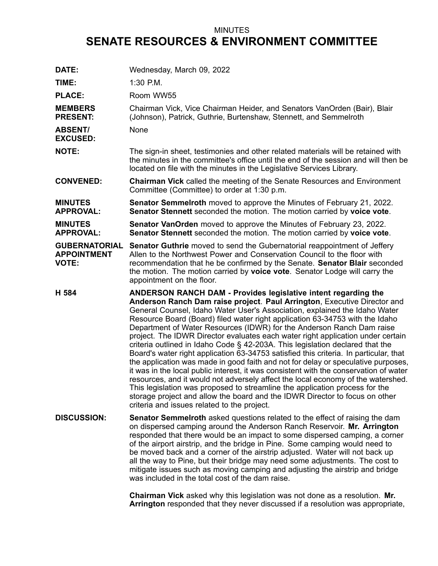## MINUTES **SENATE RESOURCES & ENVIRONMENT COMMITTEE**

| DATE:                                                      | Wednesday, March 09, 2022                                                                                                                                                                                                                                                                                                                                                                                                                                                                                                                                                                                                                                                                                                                                                                                                                                                                                                                                                                                                                                                                                                     |
|------------------------------------------------------------|-------------------------------------------------------------------------------------------------------------------------------------------------------------------------------------------------------------------------------------------------------------------------------------------------------------------------------------------------------------------------------------------------------------------------------------------------------------------------------------------------------------------------------------------------------------------------------------------------------------------------------------------------------------------------------------------------------------------------------------------------------------------------------------------------------------------------------------------------------------------------------------------------------------------------------------------------------------------------------------------------------------------------------------------------------------------------------------------------------------------------------|
| TIME:                                                      | 1:30 P.M.                                                                                                                                                                                                                                                                                                                                                                                                                                                                                                                                                                                                                                                                                                                                                                                                                                                                                                                                                                                                                                                                                                                     |
| <b>PLACE:</b>                                              | Room WW55                                                                                                                                                                                                                                                                                                                                                                                                                                                                                                                                                                                                                                                                                                                                                                                                                                                                                                                                                                                                                                                                                                                     |
| <b>MEMBERS</b><br><b>PRESENT:</b>                          | Chairman Vick, Vice Chairman Heider, and Senators VanOrden (Bair), Blair<br>(Johnson), Patrick, Guthrie, Burtenshaw, Stennett, and Semmelroth                                                                                                                                                                                                                                                                                                                                                                                                                                                                                                                                                                                                                                                                                                                                                                                                                                                                                                                                                                                 |
| <b>ABSENT/</b><br><b>EXCUSED:</b>                          | None                                                                                                                                                                                                                                                                                                                                                                                                                                                                                                                                                                                                                                                                                                                                                                                                                                                                                                                                                                                                                                                                                                                          |
| <b>NOTE:</b>                                               | The sign-in sheet, testimonies and other related materials will be retained with<br>the minutes in the committee's office until the end of the session and will then be<br>located on file with the minutes in the Legislative Services Library.                                                                                                                                                                                                                                                                                                                                                                                                                                                                                                                                                                                                                                                                                                                                                                                                                                                                              |
| <b>CONVENED:</b>                                           | <b>Chairman Vick</b> called the meeting of the Senate Resources and Environment<br>Committee (Committee) to order at 1:30 p.m.                                                                                                                                                                                                                                                                                                                                                                                                                                                                                                                                                                                                                                                                                                                                                                                                                                                                                                                                                                                                |
| <b>MINUTES</b><br><b>APPROVAL:</b>                         | <b>Senator Semmelroth</b> moved to approve the Minutes of February 21, 2022.<br>Senator Stennett seconded the motion. The motion carried by voice vote.                                                                                                                                                                                                                                                                                                                                                                                                                                                                                                                                                                                                                                                                                                                                                                                                                                                                                                                                                                       |
| <b>MINUTES</b><br><b>APPROVAL:</b>                         | <b>Senator VanOrden</b> moved to approve the Minutes of February 23, 2022.<br>Senator Stennett seconded the motion. The motion carried by voice vote.                                                                                                                                                                                                                                                                                                                                                                                                                                                                                                                                                                                                                                                                                                                                                                                                                                                                                                                                                                         |
| <b>GUBERNATORIAL</b><br><b>APPOINTMENT</b><br><b>VOTE:</b> | <b>Senator Guthrie</b> moved to send the Gubernatorial reappointment of Jeffery<br>Allen to the Northwest Power and Conservation Council to the floor with<br>recommendation that he be confirmed by the Senate. Senator Blair seconded<br>the motion. The motion carried by voice vote. Senator Lodge will carry the<br>appointment on the floor.                                                                                                                                                                                                                                                                                                                                                                                                                                                                                                                                                                                                                                                                                                                                                                            |
| H 584                                                      | ANDERSON RANCH DAM - Provides legislative intent regarding the<br>Anderson Ranch Dam raise project. Paul Arrington, Executive Director and<br>General Counsel, Idaho Water User's Association, explained the Idaho Water<br>Resource Board (Board) filed water right application 63-34753 with the Idaho<br>Department of Water Resources (IDWR) for the Anderson Ranch Dam raise<br>project. The IDWR Director evaluates each water right application under certain<br>criteria outlined in Idaho Code § 42-203A. This legislation declared that the<br>Board's water right application 63-34753 satisfied this criteria. In particular, that<br>the application was made in good faith and not for delay or speculative purposes,<br>it was in the local public interest, it was consistent with the conservation of water<br>resources, and it would not adversely affect the local economy of the watershed.<br>This legislation was proposed to streamline the application process for the<br>storage project and allow the board and the IDWR Director to focus on other<br>criteria and issues related to the project. |
| <b>DISCUSSION:</b>                                         | <b>Senator Semmelroth</b> asked questions related to the effect of raising the dam<br>on dispersed camping around the Anderson Ranch Reservoir. Mr. Arrington<br>responded that there would be an impact to some dispersed camping, a corner<br>of the airport airstrip, and the bridge in Pine. Some camping would need to<br>be moved back and a corner of the airstrip adjusted. Water will not back up<br>all the way to Pine, but their bridge may need some adjustments. The cost to<br>mitigate issues such as moving camping and adjusting the airstrip and bridge<br>was included in the total cost of the dam raise.                                                                                                                                                                                                                                                                                                                                                                                                                                                                                                |
|                                                            | Chairman Vick asked why this legislation was not done as a resolution Mr                                                                                                                                                                                                                                                                                                                                                                                                                                                                                                                                                                                                                                                                                                                                                                                                                                                                                                                                                                                                                                                      |

**Chairman Vick** asked why this legislation was not done as <sup>a</sup> resolution. **Mr. Arrington** responded that they never discussed if <sup>a</sup> resolution was appropriate,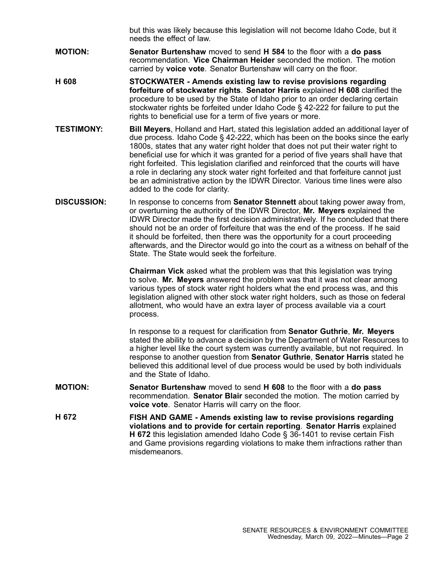but this was likely because this legislation will not become Idaho Code, but it needs the effect of law.

- **MOTION: Senator Burtenshaw** moved to send **H 584** to the floor with <sup>a</sup> **do pass** recommendation. **Vice Chairman Heider** seconded the motion. The motion carried by **voice vote**. Senator Burtenshaw will carry on the floor.
- **H 608 STOCKWATER - Amends existing law to revise provisions regarding forfeiture of stockwater rights**. **Senator Harris** explained **H 608** clarified the procedure to be used by the State of Idaho prior to an order declaring certain stockwater rights be forfeited under Idaho Code § 42-222 for failure to put the rights to beneficial use for <sup>a</sup> term of five years or more.
- **TESTIMONY: Bill Meyers**, Holland and Hart, stated this legislation added an additional layer of due process. Idaho Code § 42-222, which has been on the books since the early 1800s, states that any water right holder that does not put their water right to beneficial use for which it was granted for <sup>a</sup> period of five years shall have that right forfeited. This legislation clarified and reinforced that the courts will have <sup>a</sup> role in declaring any stock water right forfeited and that forfeiture cannot just be an administrative action by the IDWR Director. Various time lines were also added to the code for clarity.
- **DISCUSSION:** In response to concerns from **Senator Stennett** about taking power away from, or overturning the authority of the IDWR Director, **Mr. Meyers** explained the IDWR Director made the first decision administratively. If he concluded that there should not be an order of forfeiture that was the end of the process. If he said it should be forfeited, then there was the opportunity for <sup>a</sup> court proceeding afterwards, and the Director would go into the court as <sup>a</sup> witness on behalf of the State. The State would seek the forfeiture.

**Chairman Vick** asked what the problem was that this legislation was trying to solve. **Mr. Meyers** answered the problem was that it was not clear among various types of stock water right holders what the end process was, and this legislation aligned with other stock water right holders, such as those on federal allotment, who would have an extra layer of process available via <sup>a</sup> court process.

In response to <sup>a</sup> request for clarification from **Senator Guthrie**, **Mr. Meyers** stated the ability to advance <sup>a</sup> decision by the Department of Water Resources to <sup>a</sup> higher level like the court system was currently available, but not required. In response to another question from **Senator Guthrie**, **Senator Harris** stated he believed this additional level of due process would be used by both individuals and the State of Idaho.

- **MOTION: Senator Burtenshaw** moved to send **H 608** to the floor with <sup>a</sup> **do pass** recommendation. **Senator Blair** seconded the motion. The motion carried by **voice vote**. Senator Harris will carry on the floor.
- **H 672 FISH AND GAME - Amends existing law to revise provisions regarding violations and to provide for certain reporting**. **Senator Harris** explained **H 672** this legislation amended Idaho Code § 36-1401 to revise certain Fish and Game provisions regarding violations to make them infractions rather than misdemeanors.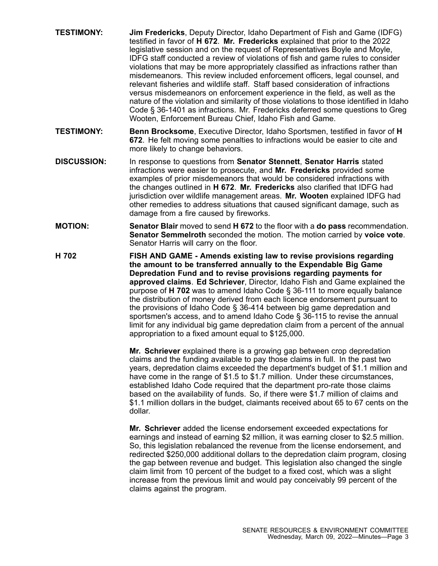- **TESTIMONY: Jim Fredericks**, Deputy Director, Idaho Department of Fish and Game (IDFG) testified in favor of **H 672**. **Mr. Fredericks** explained that prior to the 2022 legislative session and on the request of Representatives Boyle and Moyle, IDFG staff conducted <sup>a</sup> review of violations of fish and game rules to consider violations that may be more appropriately classified as infractions rather than misdemeanors. This review included enforcement officers, legal counsel, and relevant fisheries and wildlife staff. Staff based consideration of infractions versus misdemeanors on enforcement experience in the field, as well as the nature of the violation and similarity of those violations to those identified in Idaho Code § 36-1401 as infractions. Mr. Fredericks deferred some questions to Greg Wooten, Enforcement Bureau Chief, Idaho Fish and Game.
- **TESTIMONY: Benn Brocksome**, Executive Director, Idaho Sportsmen, testified in favor of **H 672**. He felt moving some penalties to infractions would be easier to cite and more likely to change behaviors.
- **DISCUSSION:** In response to questions from **Senator Stennett**, **Senator Harris** stated infractions were easier to prosecute, and **Mr. Fredericks** provided some examples of prior misdemeanors that would be considered infractions with the changes outlined in **H 672**. **Mr. Fredericks** also clarified that IDFG had jurisdiction over wildlife management areas. **Mr. Wooten** explained IDFG had other remedies to address situations that caused significant damage, such as damage from <sup>a</sup> fire caused by fireworks.
- **MOTION: Senator Blair** moved to send **H 672** to the floor with <sup>a</sup> **do pass** recommendation. **Senator Semmelroth** seconded the motion. The motion carried by **voice vote**. Senator Harris will carry on the floor.
- **H 702 FISH AND GAME - Amends existing law to revise provisions regarding the amount to be transferred annually to the Expendable Big Game Depredation Fund and to revise provisions regarding payments for approved claims**. **Ed Schriever**, Director, Idaho Fish and Game explained the purpose of **H 702** was to amend Idaho Code § 36-111 to more equally balance the distribution of money derived from each licence endorsement pursuant to the provisions of Idaho Code § 36-414 between big game depredation and sportsmen's access, and to amend Idaho Code § 36-115 to revise the annual limit for any individual big game depredation claim from <sup>a</sup> percent of the annual appropriation to <sup>a</sup> fixed amount equal to \$125,000.

**Mr. Schriever** explained there is <sup>a</sup> growing gap between crop depredation claims and the funding available to pay those claims in full. In the past two years, depredation claims exceeded the department's budget of \$1.1 million and have come in the range of \$1.5 to \$1.7 million. Under these circumstances, established Idaho Code required that the department pro-rate those claims based on the availability of funds. So, if there were \$1.7 million of claims and \$1.1 million dollars in the budget, claimants received about 65 to 67 cents on the dollar.

**Mr. Schriever** added the license endorsement exceeded expectations for earnings and instead of earning \$2 million, it was earning closer to \$2.5 million. So, this legislation rebalanced the revenue from the license endorsement, and redirected \$250,000 additional dollars to the depredation claim program, closing the gap between revenue and budget. This legislation also changed the single claim limit from 10 percent of the budget to <sup>a</sup> fixed cost, which was <sup>a</sup> slight increase from the previous limit and would pay conceivably 99 percent of the claims against the program.